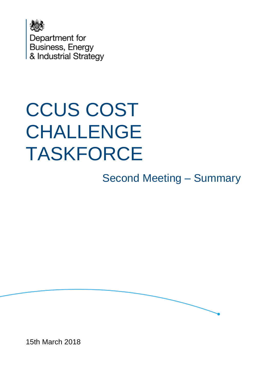

# CCUS COST CHALLENGE TASKFORCE

Second Meeting – Summary



15th March 2018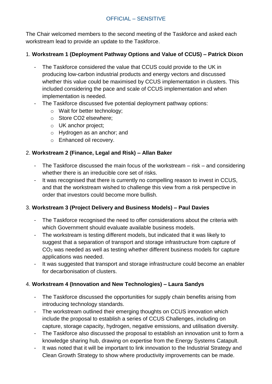### OFFICIAL – SENSITIVE

The Chair welcomed members to the second meeting of the Taskforce and asked each workstream lead to provide an update to the Taskforce.

### 1. **Workstream 1 (Deployment Pathway Options and Value of CCUS) – Patrick Dixon**

- The Taskforce considered the value that CCUS could provide to the UK in producing low-carbon industrial products and energy vectors and discussed whether this value could be maximised by CCUS implementation in clusters. This included considering the pace and scale of CCUS implementation and when implementation is needed.
- The Taskforce discussed five potential deployment pathway options:
	- o Wait for better technology;
	- o Store CO2 elsewhere;
	- o UK anchor project;
	- o Hydrogen as an anchor; and
	- o Enhanced oil recovery.

#### 2. **Workstream 2 (Finance, Legal and Risk) – Allan Baker**

- The Taskforce discussed the main focus of the workstream  $-$  risk  $-$  and considering whether there is an irreducible core set of risks.
- It was recognised that there is currently no compelling reason to invest in CCUS, and that the workstream wished to challenge this view from a risk perspective in order that investors could become more bullish.

### 3. **Workstream 3 (Project Delivery and Business Models) – Paul Davies**

- The Taskforce recognised the need to offer considerations about the criteria with which Government should evaluate available business models.
- The workstream is testing different models, but indicated that it was likely to suggest that a separation of transport and storage infrastructure from capture of CO<sup>2</sup> was needed as well as testing whether different business models for capture applications was needed.
- It was suggested that transport and storage infrastructure could become an enabler for decarbonisation of clusters.

### 4. **Workstream 4 (Innovation and New Technologies) – Laura Sandys**

- The Taskforce discussed the opportunities for supply chain benefits arising from introducing technology standards.
- The workstream outlined their emerging thoughts on CCUS innovation which include the proposal to establish a series of CCUS Challenges, including on capture, storage capacity, hydrogen, negative emissions, and utilisation diversity.
- The Taskforce also discussed the proposal to establish an innovation unit to form a knowledge sharing hub, drawing on expertise from the Energy Systems Catapult.
- It was noted that it will be important to link innovation to the Industrial Strategy and Clean Growth Strategy to show where productivity improvements can be made.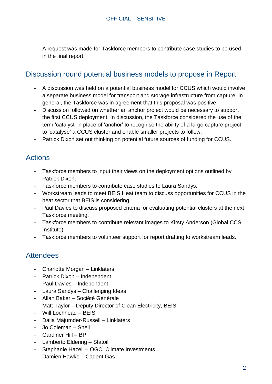- A request was made for Taskforce members to contribute case studies to be used in the final report.

## Discussion round potential business models to propose in Report

- A discussion was held on a potential business model for CCUS which would involve a separate business model for transport and storage infrastructure from capture. In general, the Taskforce was in agreement that this proposal was positive.
- Discussion followed on whether an anchor project would be necessary to support the first CCUS deployment. In discussion, the Taskforce considered the use of the term 'catalyst' in place of 'anchor' to recognise the ability of a large capture project to 'catalyse' a CCUS cluster and enable smaller projects to follow.
- Patrick Dixon set out thinking on potential future sources of funding for CCUS.

## Actions

- Taskforce members to input their views on the deployment options outlined by Patrick Dixon.
- Taskforce members to contribute case studies to Laura Sandys.
- Workstream leads to meet BEIS Heat team to discuss opportunities for CCUS in the heat sector that BEIS is considering.
- Paul Davies to discuss proposed criteria for evaluating potential clusters at the next Taskforce meeting.
- Taskforce members to contribute relevant images to Kirsty Anderson (Global CCS Institute).
- Taskforce members to volunteer support for report drafting to workstream leads.

# **Attendees**

- Charlotte Morgan Linklaters
- Patrick Dixon Independent
- Paul Davies Independent
- Laura Sandys Challenging Ideas
- Allan Baker Société Générale
- Matt Taylor Deputy Director of Clean Electricity, BEIS
- Will Lochhead BEIS
- Dalia Majumder-Russell Linklaters
- Jo Coleman Shell
- Gardiner Hill BP
- Lamberto Eldering Statoil
- Stephanie Hazell OGCI Climate Investments
- Damien Hawke Cadent Gas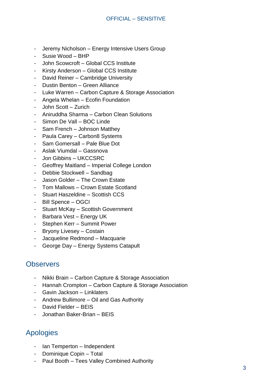- Jeremy Nicholson Energy Intensive Users Group
- Susie Wood BHP
- John Scowcroft Global CCS Institute
- Kirsty Anderson Global CCS Institute
- David Reiner Cambridge University
- Dustin Benton Green Alliance
- Luke Warren Carbon Capture & Storage Association
- Angela Whelan Ecofin Foundation
- John Scott Zurich
- Aniruddha Sharma Carbon Clean Solutions
- Simon De Vall BOC Linde
- Sam French Johnson Matthey
- Paula Carey Carbon8 Systems
- Sam Gomersall Pale Blue Dot
- Aslak Viumdal Gassnova
- Jon Gibbins UKCCSRC
- Geoffrey Maitland Imperial College London
- Debbie Stockwell Sandbag
- Jason Golder The Crown Estate
- Tom Mallows Crown Estate Scotland
- Stuart Haszeldine Scottish CCS
- Bill Spence OGCI
- Stuart McKay Scottish Government
- Barbara Vest Energy UK
- Stephen Kerr Summit Power
- Bryony Livesey Costain
- Jacqueline Redmond Macquarie
- George Day Energy Systems Catapult

## **Observers**

- Nikki Brain Carbon Capture & Storage Association
- Hannah Crompton Carbon Capture & Storage Association
- Gavin Jackson Linklaters
- Andrew Bullimore Oil and Gas Authority
- David Fielder BEIS
- Jonathan Baker-Brian BEIS

## Apologies

- Ian Temperton Independent
- Dominique Copin Total
- Paul Booth Tees Valley Combined Authority